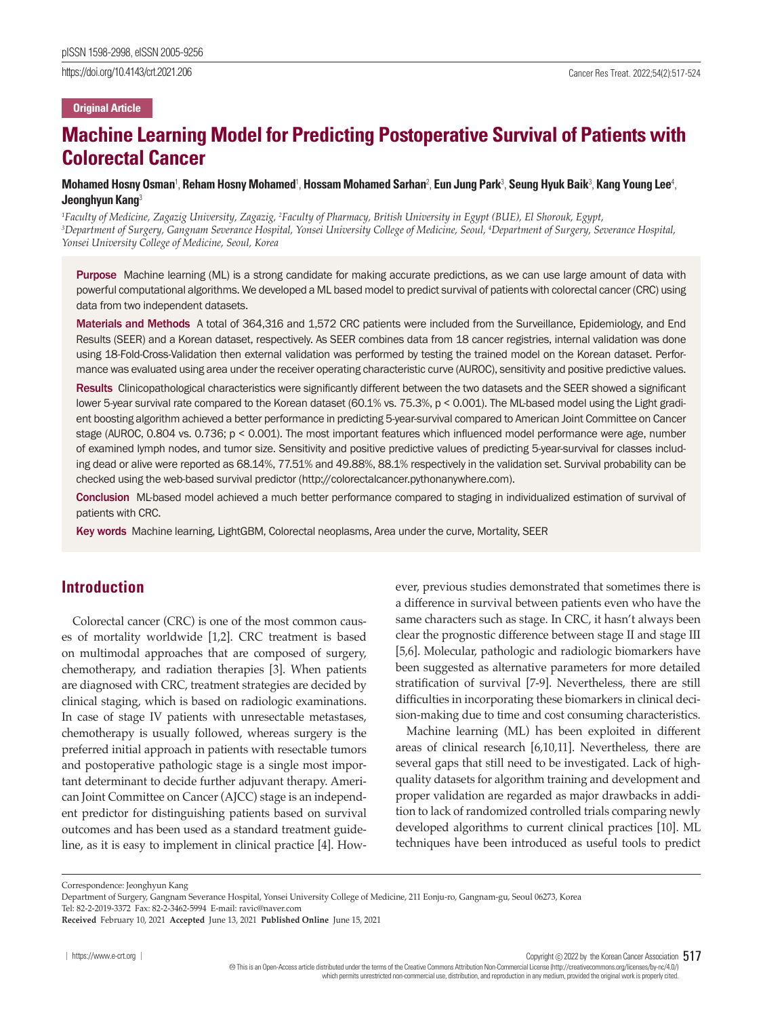https://doi.org/10.4143/crt.2021.206 Cancer Res Treat. 2022;54(2):517-524

### **Original Article**

# **Machine Learning Model for Predicting Postoperative Survival of Patients with Colorectal Cancer**

**Mohamed Hosny Osman**<sup>1</sup> , **Reham Hosny Mohamed**<sup>1</sup> , **Hossam Mohamed Sarhan**<sup>2</sup> , **Eun Jung Park**<sup>3</sup> , **Seung Hyuk Baik**<sup>3</sup> , **Kang Young Lee**<sup>4</sup> , **Jeonghyun Kang**<sup>3</sup>

<sup>1</sup> Faculty of Medicine, Zagazig University, Zagazig, <sup>2</sup>Faculty of Pharmacy, British University in Egypt (BUE), El Shorouk, Egypt,<br><sup>3</sup>Denartment of Suroery, Ganonam Severance Hospital, Yonsei University College of Medicin *Department of Surgery, Gangnam Severance Hospital, Yonsei University College of Medicine, Seoul, 4 Department of Surgery, Severance Hospital, Yonsei University College of Medicine, Seoul, Korea*

Purpose Machine learning (ML) is a strong candidate for making accurate predictions, as we can use large amount of data with powerful computational algorithms. We developed a ML based model to predict survival of patients with colorectal cancer (CRC) using data from two independent datasets.

Materials and Methods A total of 364,316 and 1,572 CRC patients were included from the Surveillance, Epidemiology, and End Results (SEER) and a Korean dataset, respectively. As SEER combines data from 18 cancer registries, internal validation was done using 18-Fold-Cross-Validation then external validation was performed by testing the trained model on the Korean dataset. Performance was evaluated using area under the receiver operating characteristic curve (AUROC), sensitivity and positive predictive values.

Results Clinicopathological characteristics were significantly different between the two datasets and the SEER showed a significant lower 5-year survival rate compared to the Korean dataset (60.1% vs. 75.3%, p < 0.001). The ML-based model using the Light gradient boosting algorithm achieved a better performance in predicting 5-year-survival compared to American Joint Committee on Cancer stage (AUROC, 0.804 vs. 0.736; p < 0.001). The most important features which influenced model performance were age, number of examined lymph nodes, and tumor size. Sensitivity and positive predictive values of predicting 5-year-survival for classes including dead or alive were reported as 68.14%, 77.51% and 49.88%, 88.1% respectively in the validation set. Survival probability can be checked using the web-based survival predictor (http://colorectalcancer.pythonanywhere.com).

Conclusion ML-based model achieved a much better performance compared to staging in individualized estimation of survival of patients with CRC.

Key words Machine learning, LightGBM, Colorectal neoplasms, Area under the curve, Mortality, SEER

# **Introduction**

Colorectal cancer (CRC) is one of the most common causes of mortality worldwide [1,2]. CRC treatment is based on multimodal approaches that are composed of surgery, chemotherapy, and radiation therapies [3]. When patients are diagnosed with CRC, treatment strategies are decided by clinical staging, which is based on radiologic examinations. In case of stage IV patients with unresectable metastases, chemotherapy is usually followed, whereas surgery is the preferred initial approach in patients with resectable tumors and postoperative pathologic stage is a single most important determinant to decide further adjuvant therapy. American Joint Committee on Cancer (AJCC) stage is an independent predictor for distinguishing patients based on survival outcomes and has been used as a standard treatment guideline, as it is easy to implement in clinical practice [4]. However, previous studies demonstrated that sometimes there is a difference in survival between patients even who have the same characters such as stage. In CRC, it hasn't always been clear the prognostic difference between stage II and stage III [5,6]. Molecular, pathologic and radiologic biomarkers have been suggested as alternative parameters for more detailed stratification of survival [7-9]. Nevertheless, there are still difficulties in incorporating these biomarkers in clinical decision-making due to time and cost consuming characteristics.

Machine learning (ML) has been exploited in different areas of clinical research [6,10,11]. Nevertheless, there are several gaps that still need to be investigated. Lack of highquality datasets for algorithm training and development and proper validation are regarded as major drawbacks in addition to lack of randomized controlled trials comparing newly developed algorithms to current clinical practices [10]. ML techniques have been introduced as useful tools to predict

Correspondence: Jeonghyun Kang

Copyright  $©$  2022 by the Korean Cancer Association 517

 This is an Open-Access article distributed under the terms of the Creative Commons Attribution Non-Commercial License (http://creativecommons.org/licenses/by-nc/4.0/) which permits unrestricted non-commercial use, distribution, and reproduction in any medium, provided the original work is properly cited.

Department of Surgery, Gangnam Severance Hospital, Yonsei University College of Medicine, 211 Eonju-ro, Gangnam-gu, Seoul 06273, Korea

Tel: 82-2-2019-3372 Fax: 82-2-3462-5994 E-mail: ravic@naver.com

**Received** February 10, 2021 **Accepted** June 13, 2021 **Published Online** June 15, 2021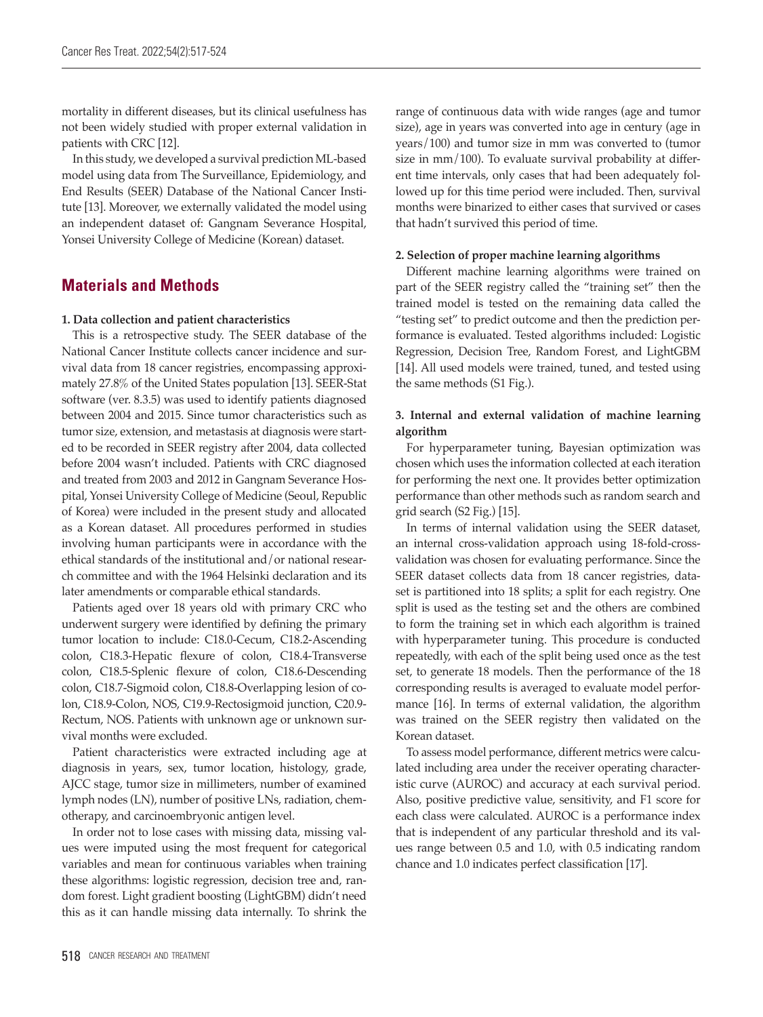mortality in different diseases, but its clinical usefulness has not been widely studied with proper external validation in patients with CRC [12].

In this study, we developed a survival prediction ML-based model using data from The Surveillance, Epidemiology, and End Results (SEER) Database of the National Cancer Institute [13]. Moreover, we externally validated the model using an independent dataset of: Gangnam Severance Hospital, Yonsei University College of Medicine (Korean) dataset.

# **Materials and Methods**

### **1. Data collection and patient characteristics**

This is a retrospective study. The SEER database of the National Cancer Institute collects cancer incidence and survival data from 18 cancer registries, encompassing approximately 27.8% of the United States population [13]. SEER-Stat software (ver. 8.3.5) was used to identify patients diagnosed between 2004 and 2015. Since tumor characteristics such as tumor size, extension, and metastasis at diagnosis were started to be recorded in SEER registry after 2004, data collected before 2004 wasn't included. Patients with CRC diagnosed and treated from 2003 and 2012 in Gangnam Severance Hospital, Yonsei University College of Medicine (Seoul, Republic of Korea) were included in the present study and allocated as a Korean dataset. All procedures performed in studies involving human participants were in accordance with the ethical standards of the institutional and/or national research committee and with the 1964 Helsinki declaration and its later amendments or comparable ethical standards.

Patients aged over 18 years old with primary CRC who underwent surgery were identified by defining the primary tumor location to include: C18.0-Cecum, C18.2-Ascending colon, C18.3-Hepatic flexure of colon, C18.4-Transverse colon, C18.5-Splenic flexure of colon, C18.6-Descending colon, C18.7-Sigmoid colon, C18.8-Overlapping lesion of colon, C18.9-Colon, NOS, C19.9-Rectosigmoid junction, C20.9- Rectum, NOS. Patients with unknown age or unknown survival months were excluded.

Patient characteristics were extracted including age at diagnosis in years, sex, tumor location, histology, grade, AJCC stage, tumor size in millimeters, number of examined lymph nodes (LN), number of positive LNs, radiation, chemotherapy, and carcinoembryonic antigen level.

In order not to lose cases with missing data, missing values were imputed using the most frequent for categorical variables and mean for continuous variables when training these algorithms: logistic regression, decision tree and, random forest. Light gradient boosting (LightGBM) didn't need this as it can handle missing data internally. To shrink the

range of continuous data with wide ranges (age and tumor size), age in years was converted into age in century (age in years/100) and tumor size in mm was converted to (tumor size in mm/100). To evaluate survival probability at different time intervals, only cases that had been adequately followed up for this time period were included. Then, survival months were binarized to either cases that survived or cases that hadn't survived this period of time.

## **2. Selection of proper machine learning algorithms**

Different machine learning algorithms were trained on part of the SEER registry called the "training set" then the trained model is tested on the remaining data called the "testing set" to predict outcome and then the prediction performance is evaluated. Tested algorithms included: Logistic Regression, Decision Tree, Random Forest, and LightGBM [14]. All used models were trained, tuned, and tested using the same methods (S1 Fig.).

# **3. Internal and external validation of machine learning algorithm**

For hyperparameter tuning, Bayesian optimization was chosen which uses the information collected at each iteration for performing the next one. It provides better optimization performance than other methods such as random search and grid search (S2 Fig.) [15].

In terms of internal validation using the SEER dataset, an internal cross-validation approach using 18-fold-crossvalidation was chosen for evaluating performance. Since the SEER dataset collects data from 18 cancer registries, dataset is partitioned into 18 splits; a split for each registry. One split is used as the testing set and the others are combined to form the training set in which each algorithm is trained with hyperparameter tuning. This procedure is conducted repeatedly, with each of the split being used once as the test set, to generate 18 models. Then the performance of the 18 corresponding results is averaged to evaluate model performance [16]. In terms of external validation, the algorithm was trained on the SEER registry then validated on the Korean dataset.

To assess model performance, different metrics were calculated including area under the receiver operating characteristic curve (AUROC) and accuracy at each survival period. Also, positive predictive value, sensitivity, and F1 score for each class were calculated. AUROC is a performance index that is independent of any particular threshold and its values range between 0.5 and 1.0, with 0.5 indicating random chance and 1.0 indicates perfect classification [17].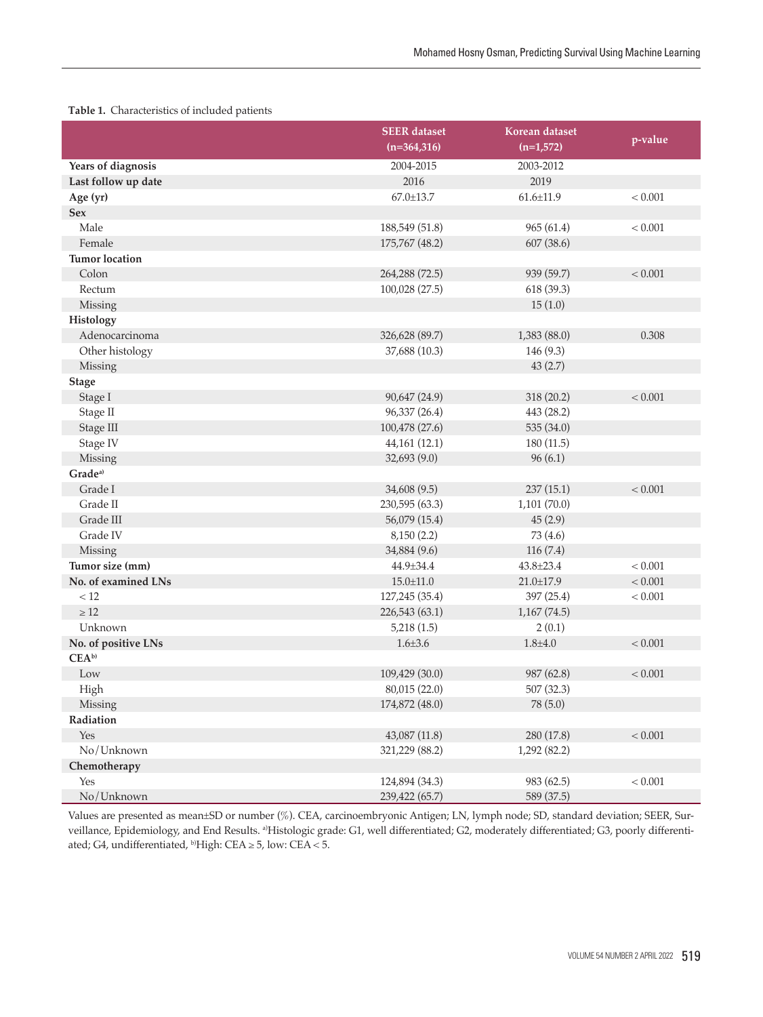|                       | <b>SEER</b> dataset<br>$(n=364,316)$ | Korean dataset<br>$(n=1,572)$ | p-value |
|-----------------------|--------------------------------------|-------------------------------|---------|
| Years of diagnosis    | 2004-2015                            | 2003-2012                     |         |
| Last follow up date   | 2016                                 | 2019                          |         |
| Age (yr)              | 67.0±13.7                            | $61.6 \pm 11.9$               | < 0.001 |
| <b>Sex</b>            |                                      |                               |         |
| Male                  | 188,549 (51.8)                       | 965(61.4)                     | < 0.001 |
| Female                | 175,767 (48.2)                       | 607(38.6)                     |         |
| <b>Tumor</b> location |                                      |                               |         |
| Colon                 | 264,288 (72.5)                       | 939 (59.7)                    | < 0.001 |
| Rectum                | 100,028 (27.5)                       | 618 (39.3)                    |         |
| Missing               |                                      | 15(1.0)                       |         |
| Histology             |                                      |                               |         |
| Adenocarcinoma        | 326,628 (89.7)                       | 1,383 (88.0)                  | 0.308   |
| Other histology       | 37,688 (10.3)                        | 146 (9.3)                     |         |
| Missing               |                                      | 43(2.7)                       |         |
| <b>Stage</b>          |                                      |                               |         |
| Stage I               | 90,647 (24.9)                        | 318 (20.2)                    | < 0.001 |
| Stage II              | 96,337 (26.4)                        | 443 (28.2)                    |         |
| Stage III             | 100,478 (27.6)                       | 535 (34.0)                    |         |
| Stage IV              | 44,161 (12.1)                        | 180 (11.5)                    |         |
| Missing               | 32,693 (9.0)                         | 96(6.1)                       |         |
| Grade <sup>a)</sup>   |                                      |                               |         |
| Grade I               | 34,608 (9.5)                         | 237(15.1)                     | < 0.001 |
| Grade II              | 230,595 (63.3)                       | 1,101(70.0)                   |         |
| Grade III             | 56,079 (15.4)                        | 45(2.9)                       |         |
| Grade IV              | 8,150(2.2)                           | 73 (4.6)                      |         |
| Missing               | 34,884 (9.6)                         | 116(7.4)                      |         |
| Tumor size (mm)       | 44.9±34.4                            | 43.8±23.4                     | < 0.001 |
| No. of examined LNs   | $15.0 \pm 11.0$                      | $21.0 \pm 17.9$               | < 0.001 |
| $<12$                 | 127,245 (35.4)                       | 397 (25.4)                    | < 0.001 |
| $\geq 12$             | 226,543 (63.1)                       | 1,167(74.5)                   |         |
| Unknown               | 5,218(1.5)                           | 2(0.1)                        |         |
| No. of positive LNs   | $1.6 \pm 3.6$                        | $1.8 + 4.0$                   | < 0.001 |
| $CEA^{b}$             |                                      |                               |         |
| Low                   | 109,429 (30.0)                       | 987 (62.8)                    | < 0.001 |
| High                  | 80,015 (22.0)                        | 507 (32.3)                    |         |
| Missing               | 174,872 (48.0)                       | 78 (5.0)                      |         |
| Radiation             |                                      |                               |         |
| Yes                   | 43,087 (11.8)                        | 280 (17.8)                    | < 0.001 |
| No/Unknown            | 321,229 (88.2)                       | 1,292(82.2)                   |         |
| Chemotherapy          |                                      |                               |         |
| Yes                   | 124,894 (34.3)                       | 983 (62.5)                    | < 0.001 |
| No/Unknown            | 239,422 (65.7)                       | 589 (37.5)                    |         |

Values are presented as mean±SD or number (%). CEA, carcinoembryonic Antigen; LN, lymph node; SD, standard deviation; SEER, Surveillance, Epidemiology, and End Results. <sup>a)</sup>Histologic grade: G1, well differentiated; G2, moderately differentiated; G3, poorly differentiated; G4, undifferentiated, b)High: CEA ≥ 5, low: CEA < 5.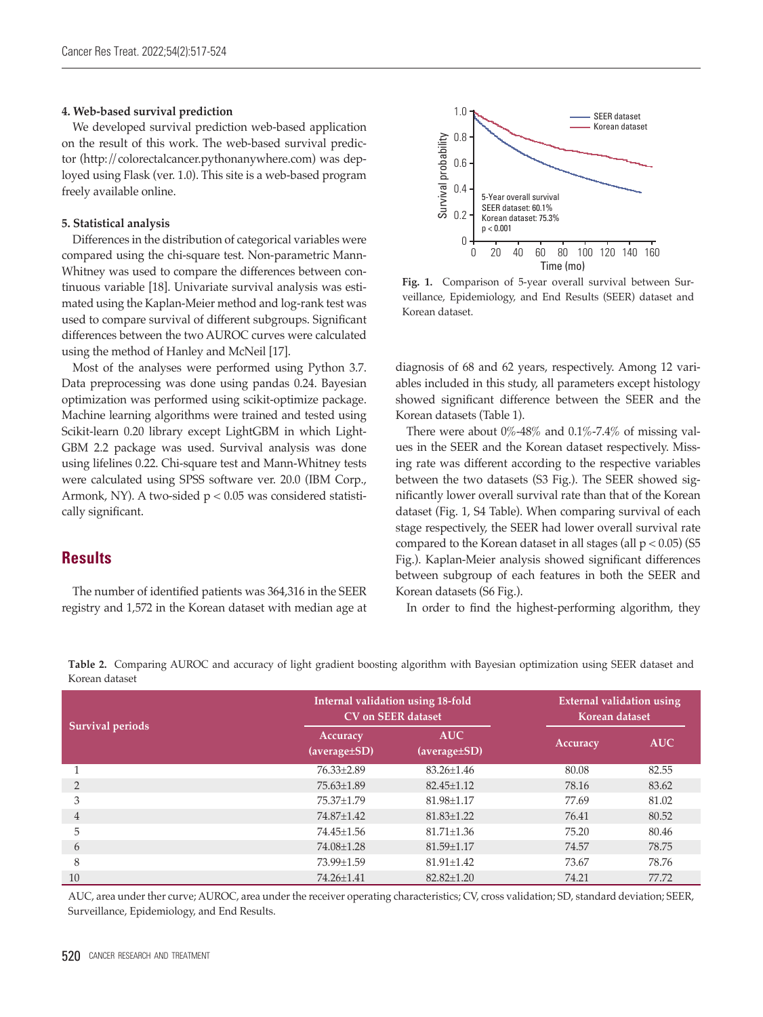#### **4. Web-based survival prediction**

We developed survival prediction web-based application on the result of this work. The web-based survival predictor (http://colorectalcancer.pythonanywhere.com) was deployed using Flask (ver. 1.0). This site is a web-based program freely available online.

#### **5. Statistical analysis**

Differences in the distribution of categorical variables were compared using the chi-square test. Non-parametric Mann-Whitney was used to compare the differences between continuous variable [18]. Univariate survival analysis was estimated using the Kaplan-Meier method and log-rank test was used to compare survival of different subgroups. Significant differences between the two AUROC curves were calculated using the method of Hanley and McNeil [17].

Most of the analyses were performed using Python 3.7. Data preprocessing was done using pandas 0.24. Bayesian optimization was performed using scikit-optimize package. Machine learning algorithms were trained and tested using Scikit-learn 0.20 library except LightGBM in which Light-GBM 2.2 package was used. Survival analysis was done using lifelines 0.22. Chi-square test and Mann-Whitney tests were calculated using SPSS software ver. 20.0 (IBM Corp., Armonk, NY). A two-sided p < 0.05 was considered statistically significant.

# **Results**

The number of identified patients was 364,316 in the SEER registry and 1,572 in the Korean dataset with median age at



**Fig. 1.** Comparison of 5-year overall survival between Surveillance, Epidemiology, and End Results (SEER) dataset and

diagnosis of 68 and 62 years, respectively. Among 12 variables included in this study, all parameters except histology showed significant difference between the SEER and the Korean datasets (Table 1).

There were about  $0\%$ -48% and  $0.1\%$ -7.4% of missing values in the SEER and the Korean dataset respectively. Missing rate was different according to the respective variables between the two datasets (S3 Fig.). The SEER showed significantly lower overall survival rate than that of the Korean dataset (Fig. 1, S4 Table). When comparing survival of each stage respectively, the SEER had lower overall survival rate compared to the Korean dataset in all stages (all  $p < 0.05$ ) (S5 Fig.). Kaplan-Meier analysis showed significant differences between subgroup of each features in both the SEER and Korean datasets (S6 Fig.).

In order to find the highest-performing algorithm, they

| wucan ualasci           |                          |                                                                       |          |                                                    |  |
|-------------------------|--------------------------|-----------------------------------------------------------------------|----------|----------------------------------------------------|--|
| <b>Survival periods</b> |                          | Internal validation using 18-fold<br><b>CV</b> on <b>SEER</b> dataset |          | <b>External validation using</b><br>Korean dataset |  |
|                         | Accuracy<br>(average±SD) | <b>AUC</b><br>(average±SD)                                            | Accuracy | <b>AUC</b>                                         |  |
|                         | 76.33±2.89               | $83.26 \pm 1.46$                                                      | 80.08    | 82.55                                              |  |
| $\mathfrak{D}$          | 75.63±1.89               | $82.45 \pm 1.12$                                                      | 78.16    | 83.62                                              |  |
| 3                       | 75.37±1.79               | $81.98 \pm 1.17$                                                      | 77.69    | 81.02                                              |  |
| 4                       | 74.87±1.42               | $81.83 \pm 1.22$                                                      | 76.41    | 80.52                                              |  |
| 5                       | 74.45±1.56               | $81.71 \pm 1.36$                                                      | 75.20    | 80.46                                              |  |
| 6                       | 74.08±1.28               | $81.59 \pm 1.17$                                                      | 74.57    | 78.75                                              |  |
| 8                       | 73.99±1.59               | $81.91 \pm 1.42$                                                      | 73.67    | 78.76                                              |  |
| 10                      | 74.26±1.41               | $82.82 + 1.20$                                                        | 74.21    | 77.72                                              |  |

**Table 2.** Comparing AUROC and accuracy of light gradient boosting algorithm with Bayesian optimization using SEER dataset and Korean dataset

AUC, area under ther curve; AUROC, area under the receiver operating characteristics; CV, cross validation; SD, standard deviation; SEER, Surveillance, Epidemiology, and End Results.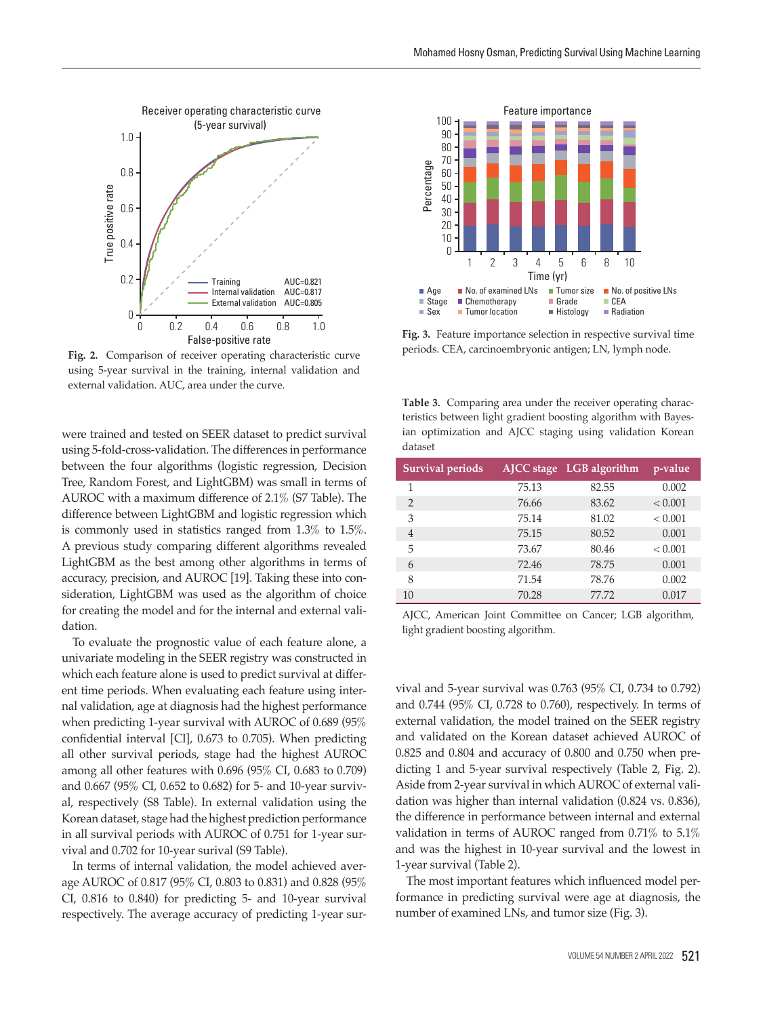

**Fig. 2.** Comparison of receiver operating characteristic curve using 5-year survival in the training, internal validation and

were trained and tested on SEER dataset to predict survival using 5-fold-cross-validation. The differences in performance between the four algorithms (logistic regression, Decision Tree, Random Forest, and LightGBM) was small in terms of AUROC with a maximum difference of 2.1% (S7 Table). The difference between LightGBM and logistic regression which is commonly used in statistics ranged from 1.3% to 1.5%. A previous study comparing different algorithms revealed LightGBM as the best among other algorithms in terms of accuracy, precision, and AUROC [19]. Taking these into consideration, LightGBM was used as the algorithm of choice for creating the model and for the internal and external validation.

To evaluate the prognostic value of each feature alone, a univariate modeling in the SEER registry was constructed in which each feature alone is used to predict survival at different time periods. When evaluating each feature using internal validation, age at diagnosis had the highest performance when predicting 1-year survival with AUROC of 0.689 (95% confidential interval [CI], 0.673 to 0.705). When predicting all other survival periods, stage had the highest AUROC among all other features with 0.696 (95% CI, 0.683 to 0.709) and 0.667 (95% CI, 0.652 to 0.682) for 5- and 10-year survival, respectively (S8 Table). In external validation using the Korean dataset, stage had the highest prediction performance in all survival periods with AUROC of 0.751 for 1-year survival and 0.702 for 10-year surival (S9 Table).

In terms of internal validation, the model achieved average AUROC of 0.817 (95% CI, 0.803 to 0.831) and 0.828 (95% CI, 0.816 to 0.840) for predicting 5- and 10-year survival respectively. The average accuracy of predicting 1-year sur-



**Fig. 3.** Feature importance selection in respective survival time

**Table 3.** Comparing area under the receiver operating characteristics between light gradient boosting algorithm with Bayesian optimization and AJCC staging using validation Korean dataset

| <b>Survival periods</b> |       | AJCC stage LGB algorithm | p-value |
|-------------------------|-------|--------------------------|---------|
| 1                       | 75.13 | 82.55                    | 0.002   |
| $\mathfrak{D}$          | 76.66 | 83.62                    | < 0.001 |
| 3                       | 75.14 | 81.02                    | < 0.001 |
| $\overline{4}$          | 75.15 | 80.52                    | 0.001   |
| 5                       | 73.67 | 80.46                    | < 0.001 |
| 6                       | 72.46 | 78.75                    | 0.001   |
| 8                       | 71.54 | 78.76                    | 0.002   |
| 10                      | 70.28 | 77.72                    | 0.017   |

AJCC, American Joint Committee on Cancer; LGB algorithm, light gradient boosting algorithm.

vival and 5-year survival was 0.763 (95% CI, 0.734 to 0.792) and 0.744 (95% CI, 0.728 to 0.760), respectively. In terms of external validation, the model trained on the SEER registry and validated on the Korean dataset achieved AUROC of 0.825 and 0.804 and accuracy of 0.800 and 0.750 when predicting 1 and 5-year survival respectively (Table 2, Fig. 2). Aside from 2-year survival in which AUROC of external validation was higher than internal validation (0.824 vs. 0.836), the difference in performance between internal and external validation in terms of AUROC ranged from 0.71% to 5.1% and was the highest in 10-year survival and the lowest in 1-year survival (Table 2).

The most important features which influenced model performance in predicting survival were age at diagnosis, the number of examined LNs, and tumor size (Fig. 3).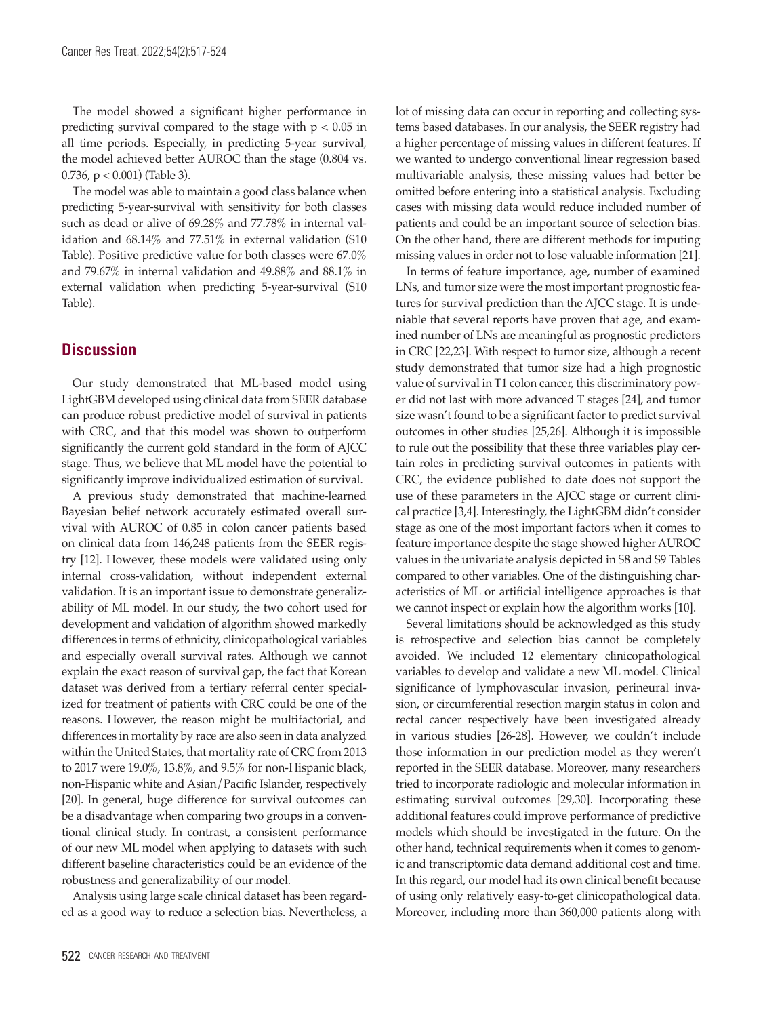The model showed a significant higher performance in predicting survival compared to the stage with  $p < 0.05$  in all time periods. Especially, in predicting 5-year survival, the model achieved better AUROC than the stage (0.804 vs. 0.736,  $p < 0.001$ ) (Table 3).

The model was able to maintain a good class balance when predicting 5-year-survival with sensitivity for both classes such as dead or alive of 69.28% and 77.78% in internal validation and 68.14% and 77.51% in external validation (S10 Table). Positive predictive value for both classes were 67.0% and 79.67% in internal validation and 49.88% and 88.1% in external validation when predicting 5-year-survival (S10 Table).

# **Discussion**

Our study demonstrated that ML-based model using LightGBM developed using clinical data from SEER database can produce robust predictive model of survival in patients with CRC, and that this model was shown to outperform significantly the current gold standard in the form of AJCC stage. Thus, we believe that ML model have the potential to significantly improve individualized estimation of survival.

A previous study demonstrated that machine-learned Bayesian belief network accurately estimated overall survival with AUROC of 0.85 in colon cancer patients based on clinical data from 146,248 patients from the SEER registry [12]. However, these models were validated using only internal cross-validation, without independent external validation. It is an important issue to demonstrate generalizability of ML model. In our study, the two cohort used for development and validation of algorithm showed markedly differences in terms of ethnicity, clinicopathological variables and especially overall survival rates. Although we cannot explain the exact reason of survival gap, the fact that Korean dataset was derived from a tertiary referral center specialized for treatment of patients with CRC could be one of the reasons. However, the reason might be multifactorial, and differences in mortality by race are also seen in data analyzed within the United States, that mortality rate of CRC from 2013 to 2017 were 19.0%, 13.8%, and 9.5% for non-Hispanic black, non-Hispanic white and Asian/Pacific Islander, respectively [20]. In general, huge difference for survival outcomes can be a disadvantage when comparing two groups in a conventional clinical study. In contrast, a consistent performance of our new ML model when applying to datasets with such different baseline characteristics could be an evidence of the robustness and generalizability of our model.

Analysis using large scale clinical dataset has been regarded as a good way to reduce a selection bias. Nevertheless, a

lot of missing data can occur in reporting and collecting systems based databases. In our analysis, the SEER registry had a higher percentage of missing values in different features. If we wanted to undergo conventional linear regression based multivariable analysis, these missing values had better be omitted before entering into a statistical analysis. Excluding cases with missing data would reduce included number of patients and could be an important source of selection bias. On the other hand, there are different methods for imputing missing values in order not to lose valuable information [21].

In terms of feature importance, age, number of examined LNs, and tumor size were the most important prognostic features for survival prediction than the AJCC stage. It is undeniable that several reports have proven that age, and examined number of LNs are meaningful as prognostic predictors in CRC [22,23]. With respect to tumor size, although a recent study demonstrated that tumor size had a high prognostic value of survival in T1 colon cancer, this discriminatory power did not last with more advanced T stages [24], and tumor size wasn't found to be a significant factor to predict survival outcomes in other studies [25,26]. Although it is impossible to rule out the possibility that these three variables play certain roles in predicting survival outcomes in patients with CRC, the evidence published to date does not support the use of these parameters in the AJCC stage or current clinical practice [3,4]. Interestingly, the LightGBM didn't consider stage as one of the most important factors when it comes to feature importance despite the stage showed higher AUROC values in the univariate analysis depicted in S8 and S9 Tables compared to other variables. One of the distinguishing characteristics of ML or artificial intelligence approaches is that we cannot inspect or explain how the algorithm works [10].

Several limitations should be acknowledged as this study is retrospective and selection bias cannot be completely avoided. We included 12 elementary clinicopathological variables to develop and validate a new ML model. Clinical significance of lymphovascular invasion, perineural invasion, or circumferential resection margin status in colon and rectal cancer respectively have been investigated already in various studies [26-28]. However, we couldn't include those information in our prediction model as they weren't reported in the SEER database. Moreover, many researchers tried to incorporate radiologic and molecular information in estimating survival outcomes [29,30]. Incorporating these additional features could improve performance of predictive models which should be investigated in the future. On the other hand, technical requirements when it comes to genomic and transcriptomic data demand additional cost and time. In this regard, our model had its own clinical benefit because of using only relatively easy-to-get clinicopathological data. Moreover, including more than 360,000 patients along with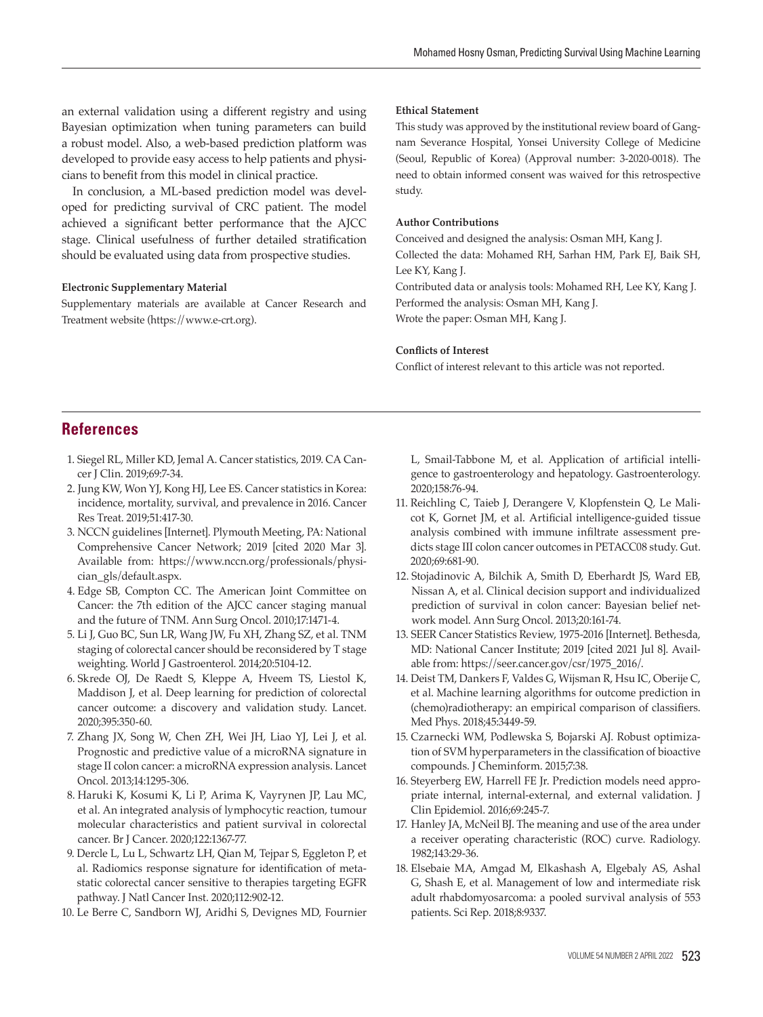an external validation using a different registry and using Bayesian optimization when tuning parameters can build a robust model. Also, a web-based prediction platform was developed to provide easy access to help patients and physicians to benefit from this model in clinical practice.

In conclusion, a ML-based prediction model was developed for predicting survival of CRC patient. The model achieved a significant better performance that the AJCC stage. Clinical usefulness of further detailed stratification should be evaluated using data from prospective studies.

#### **Electronic Supplementary Material**

Supplementary materials are available at Cancer Research and Treatment website (https://www.e-crt.org).

#### **Ethical Statement**

This study was approved by the institutional review board of Gangnam Severance Hospital, Yonsei University College of Medicine (Seoul, Republic of Korea) (Approval number: 3-2020-0018). The need to obtain informed consent was waived for this retrospective study.

#### **Author Contributions**

Conceived and designed the analysis: Osman MH, Kang J.

Collected the data: Mohamed RH, Sarhan HM, Park EJ, Baik SH, Lee KY, Kang J.

Contributed data or analysis tools: Mohamed RH, Lee KY, Kang J. Performed the analysis: Osman MH, Kang J. Wrote the paper: Osman MH, Kang J.

#### **Conflicts of Interest**

Conflict of interest relevant to this article was not reported.

# **References**

- 1. Siegel RL, Miller KD, Jemal A. Cancer statistics, 2019. CA Cancer J Clin. 2019;69:7-34.
- 2. Jung KW, Won YJ, Kong HJ, Lee ES. Cancer statistics in Korea: incidence, mortality, survival, and prevalence in 2016. Cancer Res Treat. 2019;51:417-30.
- 3. NCCN guidelines [Internet]. Plymouth Meeting, PA: National Comprehensive Cancer Network; 2019 [cited 2020 Mar 3]. Available from: https://www.nccn.org/professionals/physician\_gls/default.aspx.
- 4. Edge SB, Compton CC. The American Joint Committee on Cancer: the 7th edition of the AJCC cancer staging manual and the future of TNM. Ann Surg Oncol. 2010;17:1471-4.
- 5. Li J, Guo BC, Sun LR, Wang JW, Fu XH, Zhang SZ, et al. TNM staging of colorectal cancer should be reconsidered by T stage weighting. World J Gastroenterol. 2014;20:5104-12.
- 6. Skrede OJ, De Raedt S, Kleppe A, Hveem TS, Liestol K, Maddison J, et al. Deep learning for prediction of colorectal cancer outcome: a discovery and validation study. Lancet. 2020;395:350-60.
- 7. Zhang JX, Song W, Chen ZH, Wei JH, Liao YJ, Lei J, et al. Prognostic and predictive value of a microRNA signature in stage II colon cancer: a microRNA expression analysis. Lancet Oncol. 2013;14:1295-306.
- 8. Haruki K, Kosumi K, Li P, Arima K, Vayrynen JP, Lau MC, et al. An integrated analysis of lymphocytic reaction, tumour molecular characteristics and patient survival in colorectal cancer. Br J Cancer. 2020;122:1367-77.
- 9. Dercle L, Lu L, Schwartz LH, Qian M, Tejpar S, Eggleton P, et al. Radiomics response signature for identification of metastatic colorectal cancer sensitive to therapies targeting EGFR pathway. J Natl Cancer Inst. 2020;112:902-12.
- 10. Le Berre C, Sandborn WJ, Aridhi S, Devignes MD, Fournier

L, Smail-Tabbone M, et al. Application of artificial intelligence to gastroenterology and hepatology. Gastroenterology. 2020;158:76-94.

- 11. Reichling C, Taieb J, Derangere V, Klopfenstein Q, Le Malicot K, Gornet JM, et al. Artificial intelligence-guided tissue analysis combined with immune infiltrate assessment predicts stage III colon cancer outcomes in PETACC08 study. Gut. 2020;69:681-90.
- 12. Stojadinovic A, Bilchik A, Smith D, Eberhardt JS, Ward EB, Nissan A, et al. Clinical decision support and individualized prediction of survival in colon cancer: Bayesian belief network model. Ann Surg Oncol. 2013;20:161-74.
- 13. SEER Cancer Statistics Review, 1975-2016 [Internet]. Bethesda, MD: National Cancer Institute; 2019 [cited 2021 Jul 8]. Available from: https://seer.cancer.gov/csr/1975\_2016/.
- 14. Deist TM, Dankers F, Valdes G, Wijsman R, Hsu IC, Oberije C, et al. Machine learning algorithms for outcome prediction in (chemo)radiotherapy: an empirical comparison of classifiers. Med Phys. 2018;45:3449-59.
- 15. Czarnecki WM, Podlewska S, Bojarski AJ. Robust optimization of SVM hyperparameters in the classification of bioactive compounds. J Cheminform. 2015;7:38.
- 16. Steyerberg EW, Harrell FE Jr. Prediction models need appropriate internal, internal-external, and external validation. J Clin Epidemiol. 2016;69:245-7.
- 17. Hanley JA, McNeil BJ. The meaning and use of the area under a receiver operating characteristic (ROC) curve. Radiology. 1982;143:29-36.
- 18. Elsebaie MA, Amgad M, Elkashash A, Elgebaly AS, Ashal G, Shash E, et al. Management of low and intermediate risk adult rhabdomyosarcoma: a pooled survival analysis of 553 patients. Sci Rep. 2018;8:9337.